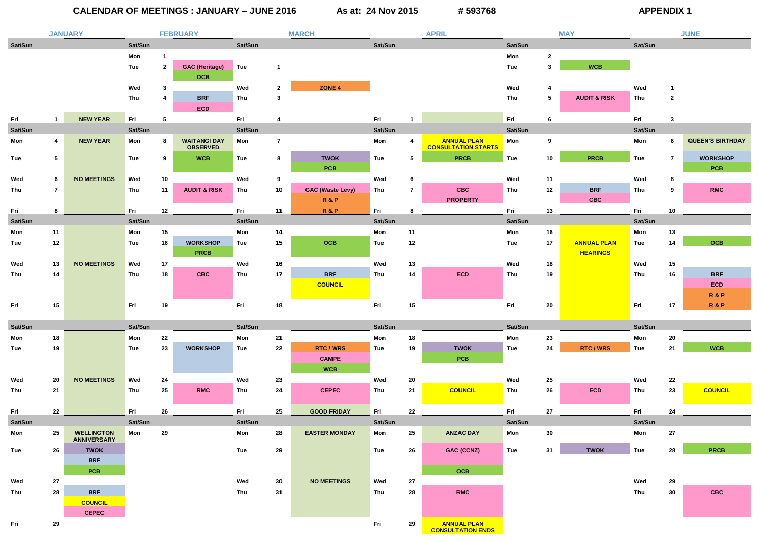# **CALENDAR OF MEETINGS : JANUARY – JUNE 2016 As at: 24 Nov 2015 # 593768 APPENDIX 1**

|         |                 | <b>JANUARY</b>                          |         |              | <b>FEBRUARY</b>                        |         |                         | <b>MARCH</b>            |         |                 | <b>APRIL</b>                                     |            |                 | <b>MAY</b>              |            |                | <b>JUNE</b>             |
|---------|-----------------|-----------------------------------------|---------|--------------|----------------------------------------|---------|-------------------------|-------------------------|---------|-----------------|--------------------------------------------------|------------|-----------------|-------------------------|------------|----------------|-------------------------|
| Sat/Sun |                 |                                         | Sat/Sun |              |                                        | Sat/Sun |                         |                         | Sat/Sun |                 |                                                  | Sat/Sun    |                 |                         | Sat/Sun    |                |                         |
|         |                 |                                         | Mon     |              |                                        |         |                         |                         |         |                 |                                                  | Mon        | $\overline{2}$  |                         |            |                |                         |
|         |                 |                                         | Tue     | $\mathbf{2}$ | <b>GAC (Heritage)</b>                  | Tue     | $\overline{\mathbf{1}}$ |                         |         |                 |                                                  | Tue        | $\mathbf{3}$    | <b>WCB</b>              |            |                |                         |
|         |                 |                                         |         |              | <b>OCB</b>                             |         |                         |                         |         |                 |                                                  |            |                 |                         |            |                |                         |
|         |                 |                                         | Wed     | 3            |                                        | Wed     | $\mathbf{2}$            | ZONE 4                  |         |                 |                                                  | Wed        | 4               |                         | Wed        | -1             |                         |
|         |                 |                                         | Thu     | 4            | <b>BRF</b>                             | Thu     | -3                      |                         |         |                 |                                                  | Thu        | $5\phantom{.0}$ | <b>AUDIT &amp; RISK</b> | Thu        | $\overline{2}$ |                         |
|         |                 |                                         |         |              | <b>ECD</b>                             |         |                         |                         |         |                 |                                                  |            |                 |                         |            |                |                         |
| Fri     | $\mathbf{1}$    | <b>NEW YEAR</b>                         | Fri     | 5            |                                        | Fri     |                         |                         | Fri     |                 |                                                  | Fri        | 6               |                         | Fri        | 3              |                         |
| Sat/Sun |                 |                                         | Sat/Sun |              |                                        | Sat/Sun |                         |                         | Sat/Sun |                 |                                                  | Sat/Sun    |                 |                         | Sat/Sun    |                |                         |
| Mon     | 4               | <b>NEW YEAR</b>                         | Mon     | 8            | <b>WAITANGI DAY</b><br><b>OBSERVED</b> | Mon     | $\overline{7}$          |                         | Mon     | 4               | <b>ANNUAL PLAN</b><br><b>CONSULTATION STARTS</b> | Mon        | 9               |                         | Mon        | 6              | <b>QUEEN'S BIRTHDAY</b> |
| Tue     | $5\phantom{.0}$ |                                         | Tue     | 9            | <b>WCB</b>                             | Tue     | 8                       | <b>TWOK</b>             | Tue     | $5\overline{)}$ | <b>PRCB</b>                                      | Tue        | 10              | <b>PRCB</b>             | Tue        | $\overline{7}$ | <b>WORKSHOP</b>         |
|         |                 |                                         |         |              |                                        |         |                         | <b>PCB</b>              |         |                 |                                                  |            |                 |                         |            |                | <b>PCB</b>              |
| Wed     | 6               | <b>NO MEETINGS</b>                      | Wed     | 10           |                                        | Wed     | 9                       |                         | Wed     | 6               |                                                  | Wed        | 11              |                         | Wed        | 8              |                         |
| Thu     | $\overline{7}$  |                                         | Thu     | 11           | <b>AUDIT &amp; RISK</b>                | Thu     | 10 <sub>1</sub>         | <b>GAC (Waste Levy)</b> | Thu     | $\overline{7}$  | <b>CBC</b>                                       | Thu        | 12              | <b>BRF</b>              | Thu        | 9              | <b>RMC</b>              |
|         |                 |                                         |         |              |                                        |         |                         | <b>R&amp;P</b>          |         |                 | <b>PROPERTY</b>                                  |            |                 | <b>CBC</b>              |            |                |                         |
| Fri     | 8               |                                         | Fri     | 12           |                                        | Fri     | 11                      | <b>R&amp;P</b>          | Fri     | 8               |                                                  | Fri        | 13              |                         | Fri        | 10             |                         |
| Sat/Sun |                 |                                         | Sat/Sun |              |                                        | Sat/Sun |                         |                         | Sat/Sun |                 |                                                  | Sat/Sun    |                 |                         | Sat/Sun    |                |                         |
| Mon     | 11              |                                         | Mon     | 15           |                                        | Mon     | 14                      |                         | Mon     | 11              |                                                  | Mon        | 16              |                         | Mon        | 13             |                         |
| Tue     | 12              |                                         | Tue     | 16           | <b>WORKSHOP</b>                        | Tue     | 15                      | <b>OCB</b>              | Tue     | 12              |                                                  | Tue        | 17              | <b>ANNUAL PLAN</b>      | <b>Tue</b> | 14             | <b>OCB</b>              |
|         |                 |                                         |         |              | <b>PRCB</b>                            |         |                         |                         |         |                 |                                                  |            |                 | <b>HEARINGS</b>         |            |                |                         |
| Wed     | 13              | <b>NO MEETINGS</b>                      | Wed     | 17           |                                        | Wed     | 16                      |                         | Wed     | 13              |                                                  | Wed        | 18              |                         | Wed        | 15             |                         |
| Thu     | 14              |                                         | Thu     | 18           | <b>CBC</b>                             | Thu     | 17                      | <b>BRF</b>              | Thu     | 14              | <b>ECD</b>                                       | Thu        | 19              |                         | Thu        | 16             | <b>BRF</b>              |
|         |                 |                                         |         |              |                                        |         |                         | <b>COUNCIL</b>          |         |                 |                                                  |            |                 |                         |            |                | ECD                     |
|         |                 |                                         |         |              |                                        |         |                         |                         |         |                 |                                                  |            |                 |                         |            |                | <b>R&amp;P</b>          |
| Fri     | 15              |                                         | Fri     | 19           |                                        | Fri     | 18                      |                         | Fri     | 15              |                                                  | Fri        | 20              |                         | Fri        | 17             | <b>R&amp;P</b>          |
|         |                 |                                         |         |              |                                        |         |                         |                         |         |                 |                                                  |            |                 |                         |            |                |                         |
| Sat/Sun |                 |                                         | Sat/Sun |              |                                        | Sat/Sun |                         |                         | Sat/Sun |                 |                                                  | Sat/Sun    |                 |                         | Sat/Sun    |                |                         |
| Mon     | 18              |                                         | Mon     | 22           |                                        | Mon     | 21                      |                         | Mon     | 18              |                                                  | Mon        | 23              |                         | Mon        | 20             |                         |
| Tue     | 19              |                                         | Tue     | 23           | <b>WORKSHOP</b>                        | Tue     | 22                      | <b>RTC/WRS</b>          | Tue     | 19              | <b>TWOK</b>                                      | <b>Tue</b> | 24              | <b>RTC/WRS</b>          | Tue        | 21             | <b>WCB</b>              |
|         |                 |                                         |         |              |                                        |         |                         | <b>CAMPE</b>            |         |                 | <b>PCB</b>                                       |            |                 |                         |            |                |                         |
|         |                 |                                         |         |              |                                        |         |                         | <b>WCB</b>              |         |                 |                                                  |            |                 |                         |            |                |                         |
| Wed     | 20              | <b>NO MEETINGS</b>                      | Wed     | 24           |                                        | Wed     | 23                      |                         | Wed     | 20              |                                                  | Wed        | 25              |                         | Wed        | 22             |                         |
| Thu     | 21              |                                         | Thu     | 25           | <b>RMC</b>                             | Thu     | 24                      | <b>CEPEC</b>            | Thu     | 21              | <b>COUNCIL</b>                                   | Thu        | 26              | <b>ECD</b>              | Thu        | 23             | <b>COUNCIL</b>          |
|         |                 |                                         |         |              |                                        |         |                         |                         |         |                 |                                                  |            |                 |                         |            |                |                         |
| Fri     | 22              |                                         | Fri     | 26           |                                        | Fri     | 25                      | <b>GOOD FRIDAY</b>      | Fri     | 22              |                                                  | Fri        | 27              |                         | Fri        | 24             |                         |
| Sat/Sun |                 |                                         | Sat/Sun |              |                                        | Sat/Sun |                         |                         | Sat/Sun |                 |                                                  | Sat/Sun    |                 |                         | Sat/Sun    |                |                         |
| Mon     | 25              | <b>WELLINGTON</b><br><b>ANNIVERSARY</b> | Mon     | 29           |                                        | Mon     | 28                      | <b>EASTER MONDAY</b>    | Mon     | 25              | <b>ANZAC DAY</b>                                 | Mon        | 30              |                         | Mon        | 27             |                         |
| Tue     | 26              | <b>TWOK</b>                             |         |              |                                        | Tue     | 29                      |                         | Tue     | 26              | <b>GAC (CCNZ)</b>                                | Tue        | 31              | <b>TWOK</b>             | <b>Tue</b> | 28             | <b>PRCB</b>             |
|         |                 | <b>BRF</b>                              |         |              |                                        |         |                         |                         |         |                 |                                                  |            |                 |                         |            |                |                         |
|         |                 | <b>PCB</b>                              |         |              |                                        |         |                         |                         |         |                 | <b>OCB</b>                                       |            |                 |                         |            |                |                         |
| Wed     | 27              |                                         |         |              |                                        | Wed     | 30                      | <b>NO MEETINGS</b>      | Wed     | 27              |                                                  |            |                 |                         | Wed        | 29             |                         |
| Thu     | 28              | <b>BRF</b>                              |         |              |                                        | Thu     | 31                      |                         | Thu     | 28              | <b>RMC</b>                                       |            |                 |                         | Thu        | 30             | <b>CBC</b>              |
|         |                 | <b>COUNCIL</b>                          |         |              |                                        |         |                         |                         |         |                 |                                                  |            |                 |                         |            |                |                         |
|         |                 | <b>CEPEC</b>                            |         |              |                                        |         |                         |                         |         |                 |                                                  |            |                 |                         |            |                |                         |
| Fri     | 29              |                                         |         |              |                                        |         |                         |                         | Fri     | 29              | <b>ANNUAL PLAN</b><br><b>CONSULTATION ENDS</b>   |            |                 |                         |            |                |                         |

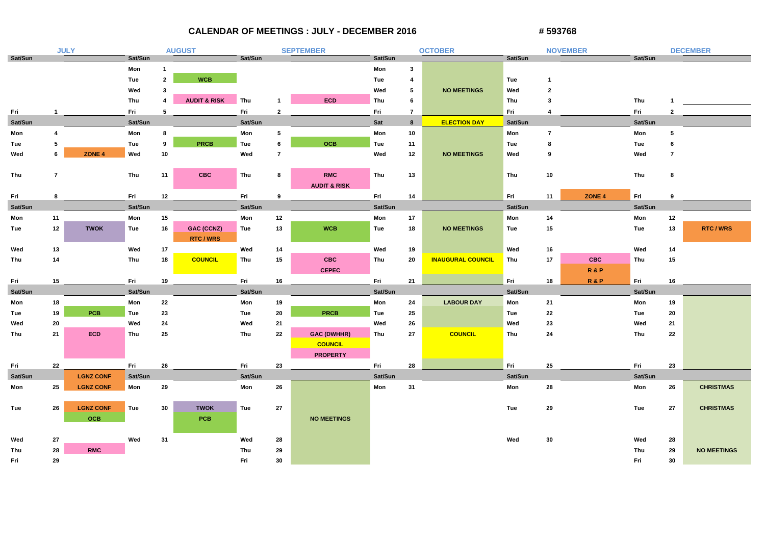## **CALENDAR OF MEETINGS : JULY - DECEMBER 2016**

| # 593768 |
|----------|
|----------|

|            |                | <b>JULY</b>       |            |                | <b>AUGUST</b>           |            |                | <b>SEPTEMBER</b>        |            |                | <b>OCTOBER</b>           |            |                  | <b>NOVEMBER</b>   |            |                         | <b>DECEMBER</b>    |
|------------|----------------|-------------------|------------|----------------|-------------------------|------------|----------------|-------------------------|------------|----------------|--------------------------|------------|------------------|-------------------|------------|-------------------------|--------------------|
| Sat/Sun    |                |                   | Sat/Sun    |                |                         | Sat/Sun    |                |                         | Sat/Sun    |                |                          | Sat/Sun    |                  |                   | Sat/Sun    |                         |                    |
|            |                |                   | Mon        | -1             |                         |            |                |                         | Mon        | $\mathbf{3}$   |                          |            |                  |                   |            |                         |                    |
|            |                |                   | Tue        | $\overline{2}$ | <b>WCB</b>              |            |                |                         | Tue        | 4              |                          | Tue        | -1               |                   |            |                         |                    |
|            |                |                   | Wed        | 3              |                         |            |                |                         | Wed        | 5              | <b>NO MEETINGS</b>       | Wed        | $\boldsymbol{c}$ |                   |            |                         |                    |
|            |                |                   | Thu        | 4              | <b>AUDIT &amp; RISK</b> | Thu        |                | ECD                     | Thu        | 6              |                          | Thu        |                  |                   | Thu        |                         |                    |
| Fri        |                |                   | Fri        | 5              |                         | Fri        | $\overline{2}$ |                         | Fri        | $\overline{7}$ |                          | Fri        |                  |                   | Fri        | $\overline{\mathbf{2}}$ |                    |
| Sat/Sun    |                |                   | Sat/Sun    |                |                         | Sat/Sun    |                |                         | <b>Sat</b> | 8              | <b>ELECTION DAY</b>      | Sat/Sun    |                  |                   | Sat/Sun    |                         |                    |
| Mon        | -4             |                   | Mon        | 8              |                         | Mon        | 5              |                         | Mon        | 10             |                          | Mon        | 7                |                   | Mon        | -5                      |                    |
| <b>Tue</b> | 5              |                   | <b>Tue</b> | 9              | <b>PRCB</b>             | <b>Tue</b> | 6              | <b>OCB</b>              | Tue        | 11             |                          | <b>Tue</b> |                  |                   | <b>Tue</b> |                         |                    |
| Wed        | 6              | ZONE <sub>4</sub> | Wed        | 10             |                         | Wed        | 7              |                         | Wed        | 12             | <b>NO MEETINGS</b>       | Wed        | 9                |                   | Wed        | -7                      |                    |
|            |                |                   |            |                |                         |            |                |                         |            |                |                          |            |                  |                   |            |                         |                    |
| Thu        | $\overline{7}$ |                   | Thu        | 11             | <b>CBC</b>              | Thu        | 8              | <b>RMC</b>              | Thu        | 13             |                          | Thu        | 10               |                   | Thu        | 8                       |                    |
|            |                |                   |            |                |                         |            |                | <b>AUDIT &amp; RISK</b> |            |                |                          |            |                  |                   |            |                         |                    |
| Fri        | 8              |                   | Fri        | 12             |                         | Fri        | 9              |                         | Fri        | 14             |                          | Fri        | 11               | ZONE <sub>4</sub> | Fri        | -9                      |                    |
| Sat/Sun    |                |                   | Sat/Sun    |                |                         | Sat/Sun    |                |                         | Sat/Sun    |                |                          | Sat/Sun    |                  |                   | Sat/Sun    |                         |                    |
| Mon        | 11             |                   | Mon        | 15             |                         | Mon        | 12             |                         | Mon        | 17             |                          | Mon        | 14               |                   | Mon        | 12                      |                    |
| <b>Tue</b> | 12             | <b>TWOK</b>       | Tue        | 16             | <b>GAC (CCNZ)</b>       | Tue        | 13             | <b>WCB</b>              | Tue        | 18             | <b>NO MEETINGS</b>       | <b>Tue</b> | 15               |                   | <b>Tue</b> | 13                      | <b>RTC/WRS</b>     |
|            |                |                   |            |                | <b>RTC/WRS</b>          |            |                |                         |            |                |                          |            |                  |                   |            |                         |                    |
| Wed        | 13             |                   | Wed        | 17             |                         | Wed        | 14             |                         | Wed        | 19             |                          | Wed        | 16               |                   | Wed        | 14                      |                    |
| Thu        | 14             |                   | Thu        | 18             | <b>COUNCIL</b>          | Thu        | 15             | <b>CBC</b>              | Thu        | 20             | <b>INAUGURAL COUNCIL</b> | Thu        | 17               | <b>CBC</b>        | Thu        | 15                      |                    |
|            |                |                   |            |                |                         |            |                | <b>CEPEC</b>            |            |                |                          |            |                  | R&P               |            |                         |                    |
| Fri        | 15             |                   | Fri        | 19             |                         | Fri        | 16             |                         | Fri        | 21             |                          | Fri        | 18               | R&P               | Fri        | 16                      |                    |
| Sat/Sun    |                |                   | Sat/Sun    |                |                         | Sat/Sun    |                |                         | Sat/Sun    |                |                          | Sat/Sun    |                  |                   | Sat/Sun    |                         |                    |
| Mon        | 18             |                   | Mon        | 22             |                         | Mon        | 19             |                         | Mon        | 24             | <b>LABOUR DAY</b>        | Mon        | 21               |                   | Mon        | 19                      |                    |
| <b>Tue</b> | 19             | <b>PCB</b>        | <b>Tue</b> | 23             |                         | Tue        | 20             | <b>PRCB</b>             | Tue        | 25             |                          | <b>Tue</b> | 22               |                   | <b>Tue</b> | 20                      |                    |
| Wed        | 20             |                   | Wed        | 24             |                         | Wed        | 21             |                         | Wed        | 26             |                          | Wed        | 23               |                   | Wed        | 21                      |                    |
| Thu        | 21             | ECD               | Thu        | 25             |                         | Thu        | 22             | <b>GAC (DWHHR)</b>      | Thu        | 27             | <b>COUNCIL</b>           | Thu        | 24               |                   | Thu        | 22                      |                    |
|            |                |                   |            |                |                         |            |                | <b>COUNCIL</b>          |            |                |                          |            |                  |                   |            |                         |                    |
|            |                |                   |            |                |                         |            |                | <b>PROPERTY</b>         |            |                |                          |            |                  |                   |            |                         |                    |
| Fri        | 22             |                   | Fri        | 26             |                         | Fri        | 23             |                         | Fri        | 28             |                          | Fri        | 25               |                   | Fri        | 23                      |                    |
| Sat/Sun    |                | <b>LGNZ CONF</b>  | Sat/Sun    |                |                         | Sat/Sun    |                |                         | Sat/Sun    |                |                          | Sat/Sun    |                  |                   | Sat/Sun    |                         |                    |
| Mon        | 25             | <b>LGNZ CONF</b>  | Mon        | 29             |                         | Mon        | 26             |                         | Mon        | 31             |                          | Mon        | 28               |                   | Mon        | 26                      | <b>CHRISTMAS</b>   |
|            |                |                   |            |                |                         |            |                |                         |            |                |                          |            |                  |                   |            |                         |                    |
| Tue        | 26             | <b>LGNZ CONF</b>  | Tue        | 30             | <b>TWOK</b>             | Tue        | 27             |                         |            |                |                          | Tue        | 29               |                   | Tue        | 27                      | <b>CHRISTMAS</b>   |
|            |                | <b>OCB</b>        |            |                | <b>PCB</b>              |            |                | <b>NO MEETINGS</b>      |            |                |                          |            |                  |                   |            |                         |                    |
|            |                |                   |            |                |                         |            |                |                         |            |                |                          |            |                  |                   |            |                         |                    |
| Wed        | 27             |                   | Wed        | 31             |                         | Wed        | 28             |                         |            |                |                          | Wed        | 30               |                   | Wed        | 28                      |                    |
| Thu        | 28             | <b>RMC</b>        |            |                |                         | Thu        | 29             |                         |            |                |                          |            |                  |                   | Thu        | 29                      | <b>NO MEETINGS</b> |
| Fri        | 29             |                   |            |                |                         | Fri        | 30             |                         |            |                |                          |            |                  |                   | Fri        | 30                      |                    |

| _ |  |
|---|--|
|   |  |
|   |  |
|   |  |